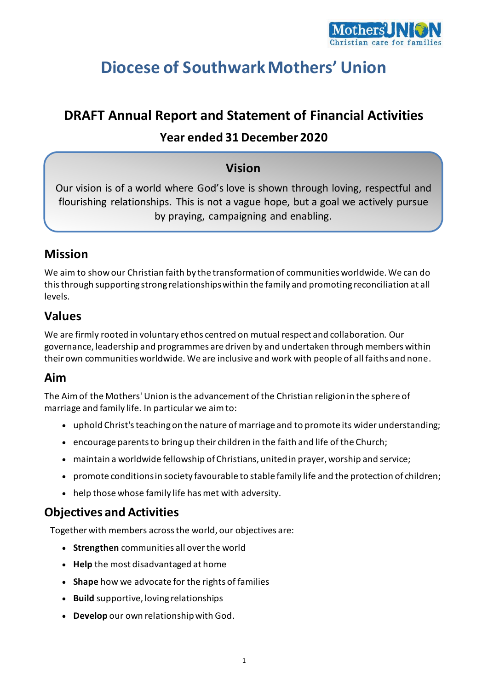

# **Diocese of Southwark Mothers' Union**

# **DRAFT Annual Report and Statement of Financial Activities**

### **Year ended 31 December 2020**

### **Vision**

Our vision is of a world where God's love is shown through loving, respectful and flourishing relationships. This is not a vague hope, but a goal we actively pursue by praying, campaigning and enabling.

### **Mission**

We aim to show our Christian faith by the transformation of communities worldwide. We can do this through supporting strong relationships within the family and promoting reconciliation at all levels.

### **Values**

We are firmly rooted in voluntary ethos centred on mutual respect and collaboration. Our governance, leadership and programmes are driven by and undertaken through members within their own communities worldwide. We are inclusive and work with people of all faiths and none.

### **Aim**

The Aim of the Mothers' Union is the advancement of the Christian religion in the sphere of marriage and family life. In particular we aim to:

- uphold Christ's teaching on the nature of marriage and to promote its wider understanding;
- encourage parents to bring up their children in the faith and life of the Church;
- maintain a worldwide fellowship of Christians, united in prayer, worship and service;
- promote conditions in society favourable to stable family life and the protection of children;
- help those whose family life has met with adversity.

### **Objectives and Activities**

Together with members across the world, our objectives are:

- **Strengthen** communities all over the world
- **Help** the most disadvantaged at home
- **Shape** how we advocate for the rights of families
- **Build** supportive, loving relationships
- **Develop** our own relationship with God.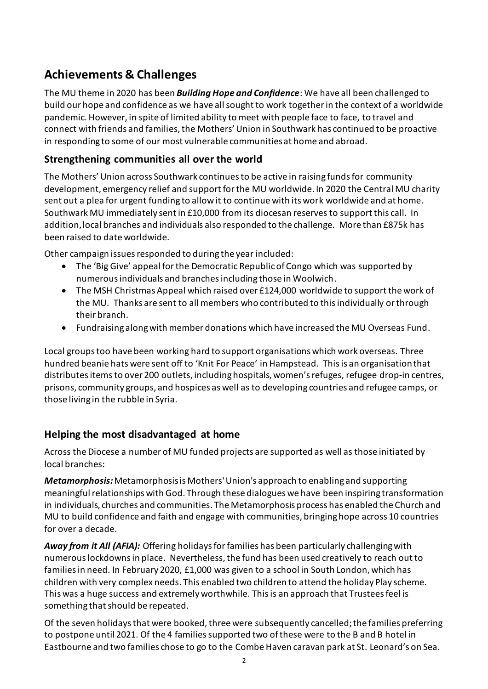# **Achievements & Challenges**

The MU theme in 2020 has been *Building Hope and Confidence*: We have all been challenged to build our hope and confidence as we have all sought to work together in the context of a worldwide pandemic. However, in spite of limited ability to meet with people face to face, to travel and connect with friends and families, the Mothers' Union in Southwark has continued to be proactive in responding to some of our most vulnerable communities at home and abroad.

### **Strengthening communities all over the world**

The Mothers' Union across Southwark continues to be active in raising funds for community development, emergency relief and support for the MU worldwide. In 2020 the Central MU charity sent out a plea for urgent funding to allow it to continue with its work worldwide and at home. Southwark MU immediately sent in £10,000 from its diocesan reserves to support this call. In addition, local branches and individuals also responded to the challenge. More than £875k has been raised to date worldwide.

Other campaign issues responded to during the year included:

- The 'Big Give' appeal for the Democratic Republic of Congo which was supported by numerous individuals and branches including those in Woolwich.
- The MSH Christmas Appeal which raised over £124,000 worldwide to support the work of the MU. Thanks are sent to all members who contributed to this individually or through their branch.
- Fundraising along with member donations which have increased the MU Overseas Fund.

Local groups too have been working hard to support organisations which work overseas. Three hundred beanie hats were sent off to 'Knit For Peace' in Hampstead. This is an organisation that distributes items to over 200 outlets, including hospitals, women's refuges, refugee drop-in centres, prisons, community groups, and hospices as well as to developing countries and refugee camps, or those living in the rubble in Syria.

### **Helping the most disadvantaged at home**

Across the Diocese a number of MU funded projects are supported as well as those initiated by local branches:

*Metamorphosis:* Metamorphosis is Mothers' Union's approach to enabling and supporting meaningful relationships with God. Through these dialogues we have been inspiring transformation in individuals, churches and communities. The Metamorphosis process has enabled the Church and MU to build confidence and faith and engage with communities, bringing hope across 10 countries for over a decade.

*Away from it All (AFIA):* Offering holidays for families has been particularly challenging with numerous lockdowns in place. Nevertheless, the fund has been used creatively to reach out to families in need. In February 2020, £1,000 was given to a school in South London, which has children with very complex needs. This enabled two children to attend the holiday Play scheme. This was a huge success and extremely worthwhile. This is an approach that Trustees feel is something that should be repeated.

Of the seven holidays that were booked, three were subsequently cancelled; the families preferring to postpone until 2021. Of the 4 families supported two of these were to the B and B hotel in Eastbourne and two families chose to go to the Combe Haven caravan park at St. Leonard's on Sea.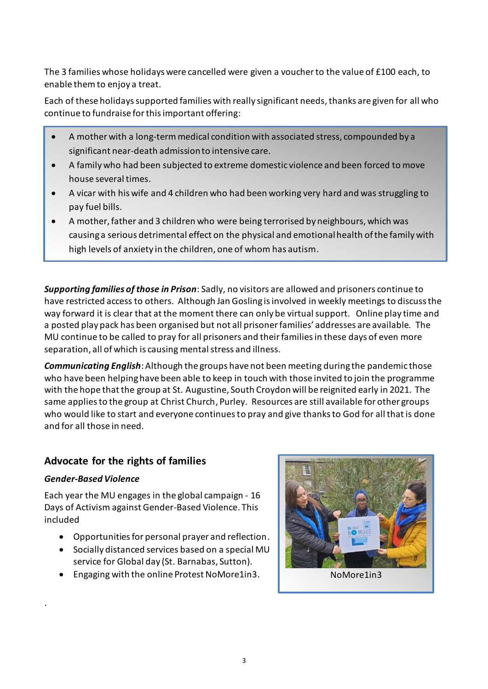The 3 families whose holidays were cancelled were given a voucher to the value of £100 each, to enable them to enjoy a treat.

Each of these holidays supported families with really significant needs, thanks are given for all who continue to fundraise for this important offering:

- A mother with a long-term medical condition with associated stress, compounded by a significant near-death admission to intensive care.
- A family who had been subjected to extreme domestic violence and been forced to move house several times.
- A vicar with his wife and 4 children who had been working very hard and was struggling to pay fuel bills.
- A mother, father and 3 children who were being terrorised by neighbours, which was causing a serious detrimental effect on the physical and emotional health of the family with high levels of anxiety in the children, one of whom has autism.

*Supporting families of those in Prison*: Sadly, no visitors are allowed and prisoners continue to have restricted access to others. Although Jan Gosling is involved in weekly meetings to discuss the way forward it is clear that at the moment there can only be virtual support. Online play time and a posted play pack has been organised but not all prisoner families' addresses are available. The MU continue to be called to pray for all prisoners and their families in these days of even more separation, all of which is causing mental stress and illness.

*Communicating English*: Although the groups have not been meeting during the pandemic those who have been helping have been able to keep in touch with those invited to join the programme with the hope that the group at St. Augustine, South Croydon will be reignited early in 2021. The same applies to the group at Christ Church, Purley. Resources are still available for other groups who would like to start and everyone continues to pray and give thanks to God for all that is done and for all those in need.

### **Advocate for the rights of families**

### *Gender-Based Violence*

.

Each year the MU engages in the global campaign - 16 Days of Activism against Gender-Based Violence. This included

- Opportunities for personal prayer and reflection.
- Socially distanced services based on a special MU service for Global day (St. Barnabas, Sutton).
- Engaging with the online Protest NoMore1in3.

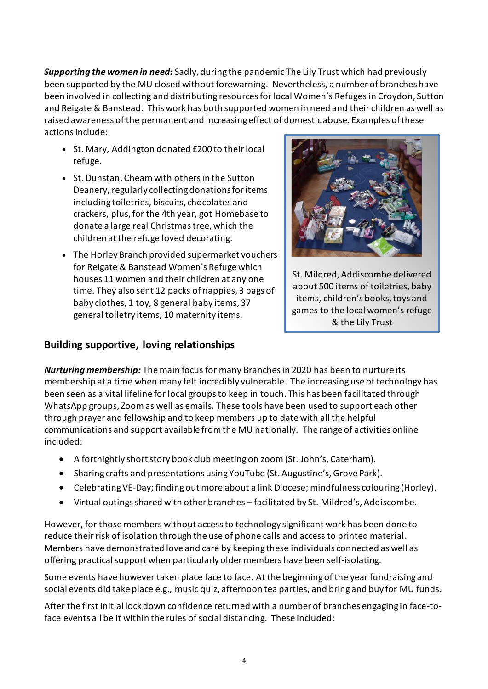*Supporting the women in need:* Sadly, during the pandemic The Lily Trust which had previously been supported by the MU closed without forewarning. Nevertheless, a number of branches have been involved in collecting and distributing resources for local Women's Refuges in Croydon, Sutton and Reigate & Banstead. This work has both supported women in need and their children as well as raised awareness of the permanent and increasing effect of domestic abuse. Examples of these actions include:

- St. Mary, Addington donated £200 to their local refuge.
- St. Dunstan, Cheam with others in the Sutton Deanery, regularly collecting donations for items including toiletries, biscuits, chocolates and crackers, plus, for the 4th year, got Homebase to donate a large real Christmas tree, which the children at the refuge loved decorating.
- The Horley Branch provided supermarket vouchers for Reigate & Banstead Women's Refuge which houses 11 women and their children at any one time. They also sent 12 packs of nappies, 3 bags of baby clothes, 1 toy, 8 general baby items, 37 general toiletry items, 10 maternity items.



St. Mildred, Addiscombe delivered about 500 items of toiletries, baby items, children's books, toys and games to the local women's refuge & the Lily Trust

### **Building supportive, loving relationships**

*Nurturing membership:* The main focus for many Branches in 2020 has been to nurture its membership at a time when many felt incredibly vulnerable. The increasing use of technology has been seen as a vital lifeline for local groups to keep in touch. This has been facilitated through WhatsApp groups, Zoom as well as emails. These tools have been used to support each other through prayer and fellowship and to keep members up to date with all the helpful communications and support available from the MU nationally. The range of activities online included:

- A fortnightly short story book club meeting on zoom (St. John's, Caterham).
- Sharing crafts and presentations using YouTube (St. Augustine's, Grove Park).
- Celebrating VE-Day; finding out more about a link Diocese; mindfulness colouring (Horley).
- Virtual outings shared with other branches facilitated by St. Mildred's, Addiscombe.

However, for those members without access to technology significant work has been done to reduce their risk of isolation through the use of phone calls and access to printed material. Members have demonstrated love and care by keeping these individuals connected as well as offering practical support when particularly older members have been self-isolating.

Some events have however taken place face to face. At the beginning of the year fundraising and social events did take place e.g., music quiz, afternoon tea parties, and bring and buy for MU funds.

After the first initial lock down confidence returned with a number of branches engaging in face-toface events all be it within the rules of social distancing. These included: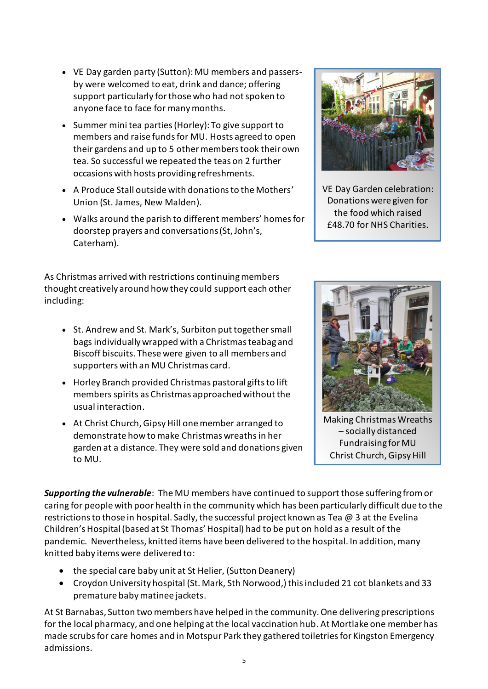- VE Day garden party (Sutton): MU members and passersby were welcomed to eat, drink and dance; offering support particularly forthose who had not spoken to anyone face to face for many months.
- Summer mini tea parties (Horley): To give support to members and raise funds for MU. Hosts agreed to open their gardens and up to 5 other members took their own tea. So successful we repeated the teas on 2 further occasions with hosts providing refreshments.
- A Produce Stall outside with donations to the Mothers' Union (St. James, New Malden).
- Walks around the parish to different members' homesfor doorstep prayers and conversations (St, John's, Caterham).

As Christmas arrived with restrictions continuing members thought creatively around how they could support each other including:

- St. Andrew and St. Mark's, Surbiton put together small bags individually wrapped with a Christmas teabag and Biscoff biscuits. These were given to all members and supporters with an MU Christmas card.
- Horley Branch provided Christmas pastoral gifts to lift members spirits as Christmas approached without the usual interaction.
- At Christ Church,Gipsy Hill one member arranged to demonstrate how to make Christmas wreathsin her garden at a distance. They were sold and donations given to MU.

*Supporting the vulnerable*: The MU members have continued to support those suffering from or caring for people with poor health in the community which has been particularly difficult due to the restrictions to those in hospital. Sadly, the successful project known as Tea @ 3 at the Evelina Children's Hospital(based at St Thomas' Hospital) had to be put on hold as a result of the pandemic. Nevertheless, knitted items have been delivered to the hospital. In addition, many knitted baby items were delivered to:

- the special care baby unit at St Helier, (Sutton Deanery)
- Croydon University hospital (St. Mark, Sth Norwood,) this included 21 cot blankets and 33 premature baby matinee jackets.

At St Barnabas, Sutton two members have helped in the community. One delivering prescriptions for the local pharmacy, and one helping at the local vaccination hub. At Mortlake one member has made scrubs for care homes and in Motspur Park they gathered toiletries for Kingston Emergency admissions.

VE Day Garden celebration: Donations were given for the food which raised £48.70 for NHS Charities.



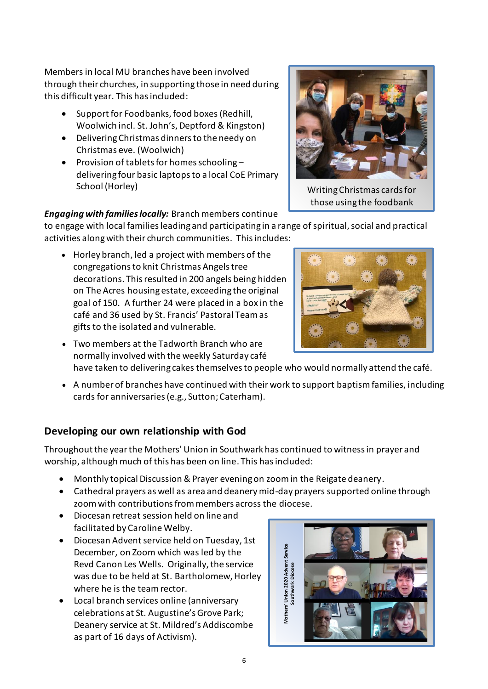Members in local MU branches have been involved through their churches, in supporting those in need during this difficult year. This has included:

- Support for Foodbanks, food boxes(Redhill, Woolwich incl. St. John's, Deptford & Kingston)
- Delivering Christmas dinners to the needy on Christmas eve. (Woolwich)
- Provision of tablets for homes schooling delivering four basic laptops to a local CoE Primary School (Horley)



Writing Christmas cards for those using the foodbank

### *Engaging with families locally:* Branch members continue

to engage with local families leading and participating in a range of spiritual, social and practical activities along with their church communities. This includes:

- Horley branch, led a project with members of the congregations to knit Christmas Angels tree decorations. This resulted in 200 angels being hidden on The Acres housing estate, exceeding the original goal of 150. A further 24 were placed in a box in the café and 36 used by St. Francis' Pastoral Team as gifts to the isolated and vulnerable.
- 
- Two members at the Tadworth Branch who are normally involved with the weekly Saturday café have taken to delivering cakes themselves to people who would normally attend the café.
- A number of branches have continued with their work to support baptism families, including cards for anniversaries (e.g., Sutton;Caterham).

### **Developing our own relationship with God**

Throughout the year the Mothers' Union in Southwark has continued to witness in prayer and worship, although much of this has been on line. This has included:

- Monthly topical Discussion & Prayer evening on zoom in the Reigate deanery.
- Cathedral prayers as well as area and deanery mid-day prayers supported online through zoomwith contributions from members across the diocese.
- Diocesan retreat session held on line and facilitated by Caroline Welby.
- Diocesan Advent service held on Tuesday, 1st December, on Zoom which was led by the Revd Canon Les Wells. Originally, the service was due to be held at St. Bartholomew, Horley where he is the team rector.
- Local branch services online (anniversary celebrations at St. Augustine's Grove Park; Deanery service at St. Mildred's Addiscombe as part of 16 days of Activism).

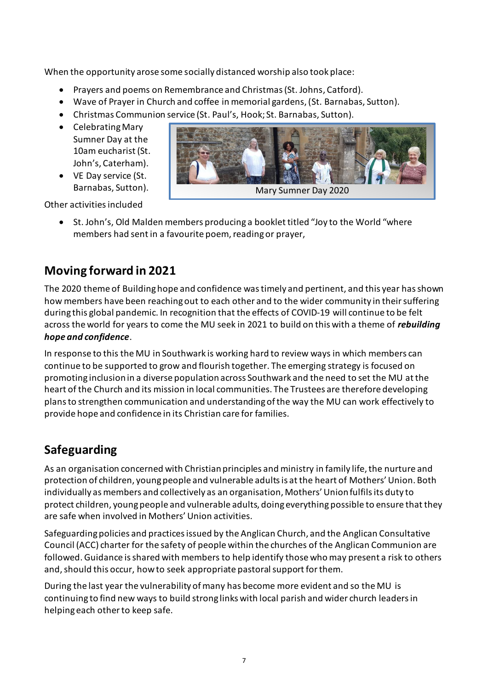When the opportunity arose some socially distanced worship also took place:

- Prayers and poems on Remembrance and Christmas (St. Johns, Catford).
- Wave of Prayer in Church and coffee in memorial gardens, (St. Barnabas, Sutton).
- Christmas Communion service (St. Paul's, Hook; St. Barnabas, Sutton).
- Celebrating Mary Sumner Day at the 10am eucharist (St. John's, Caterham).
- VE Day service (St. Barnabas, Sutton).

Mary Sumner Day 2020

Other activities included

• St. John's, Old Malden members producing a booklet titled "Joy to the World "where members had sent in a favourite poem, reading or prayer,

# **Moving forward in 2021**

The 2020 theme of Building hope and confidence was timely and pertinent, and this year has shown how members have been reaching out to each other and to the wider community in their suffering during this global pandemic. In recognition that the effects of COVID-19 will continue to be felt across the world for years to come the MU seek in 2021 to build on this with a theme of *rebuilding hope and confidence*.

In response to this the MU in Southwark is working hard to review ways in which members can continue to be supported to grow and flourish together. The emerging strategy is focused on promoting inclusion in a diverse population across Southwark and the need to set the MU at the heart of the Church and its mission in local communities. The Trustees are therefore developing plans to strengthen communication and understanding of the way the MU can work effectively to provide hope and confidence in its Christian care for families.

# **Safeguarding**

As an organisation concerned with Christian principles and ministry in family life, the nurture and protection of children, young people and vulnerable adults is at the heart of Mothers' Union. Both individually as members and collectively as an organisation, Mothers' Union fulfils its duty to protect children, young people and vulnerable adults, doing everything possible to ensure that they are safe when involved in Mothers' Union activities.

Safeguarding policies and practices issued by the Anglican Church, and the Anglican Consultative Council (ACC) charter for the safety of people within the churches of the Anglican Communion are followed. Guidance is shared with members to help identify those who may present a risk to others and, should this occur, how to seek appropriate pastoral support for them.

During the last year the vulnerability of many has become more evident and so the MU is continuing to find new ways to build strong links with local parish and wider church leaders in helping each other to keep safe.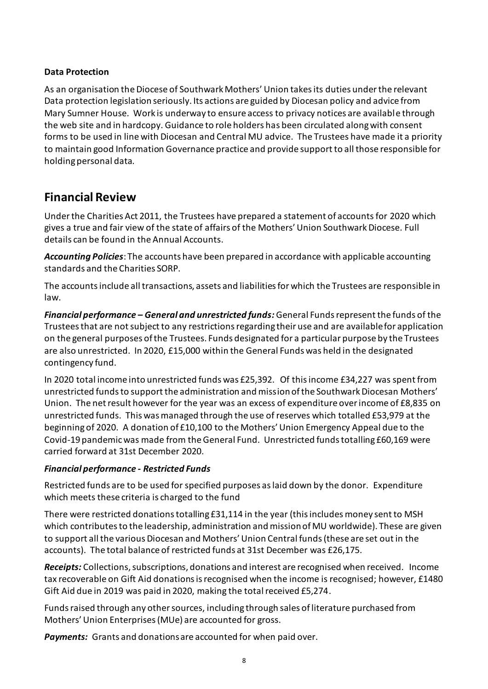#### **Data Protection**

As an organisation the Diocese of Southwark Mothers' Union takes its duties under the relevant Data protection legislation seriously. Its actions are guided by Diocesan policy and advice from Mary Sumner House. Work is underway to ensure access to privacy notices are available through the web site and in hardcopy. Guidance to role holders has been circulated along with consent forms to be used in line with Diocesan and Central MU advice. The Trustees have made it a priority to maintain good Information Governance practice and provide support to all those responsible for holding personal data.

### **Financial Review**

Under the Charities Act 2011, the Trustees have prepared a statement of accounts for 2020 which gives a true and fair view of the state of affairs of the Mothers' Union Southwark Diocese. Full details can be found in the Annual Accounts.

*Accounting Policies*: The accounts have been prepared in accordance with applicable accounting standards and the Charities SORP.

The accounts include all transactions, assets and liabilities for which the Trustees are responsible in law.

*Financial performance – General and unrestricted funds:* General Funds represent the funds of the Trustees that are not subject to any restrictions regarding their use and are available for application on the general purposes of the Trustees. Funds designated for a particular purpose by the Trustees are also unrestricted. In 2020, £15,000 within the General Funds was held in the designated contingency fund.

In 2020 total income into unrestricted funds was £25,392. Of this income £34,227 was spent from unrestricted funds to support the administration and mission of the Southwark Diocesan Mothers' Union. The net result however for the year was an excess of expenditure over income of £8,835 on unrestricted funds. This was managed through the use of reserves which totalled £53,979 at the beginning of 2020. A donation of £10,100 to the Mothers' Union Emergency Appeal due to the Covid-19 pandemic was made from the General Fund. Unrestricted funds totalling £60,169 were carried forward at 31st December 2020.

### *Financial performance - Restricted Funds*

Restricted funds are to be used for specified purposes as laid down by the donor. Expenditure which meets these criteria is charged to the fund

There were restricted donations totalling £31,114 in the year (this includes money sent to MSH which contributes to the leadership, administration and mission of MU worldwide). These are given to support all the various Diocesan and Mothers' Union Central funds (these are set out in the accounts). The total balance of restricted funds at 31st December was £26,175.

*Receipts:* Collections, subscriptions, donations and interest are recognised when received. Income tax recoverable on Gift Aid donations is recognised when the income is recognised; however, £1480 Gift Aid due in 2019 was paid in 2020, making the total received £5,274.

Funds raised through any other sources, including through sales of literature purchased from Mothers' Union Enterprises (MUe) are accounted for gross.

*Payments:* Grants and donations are accounted for when paid over.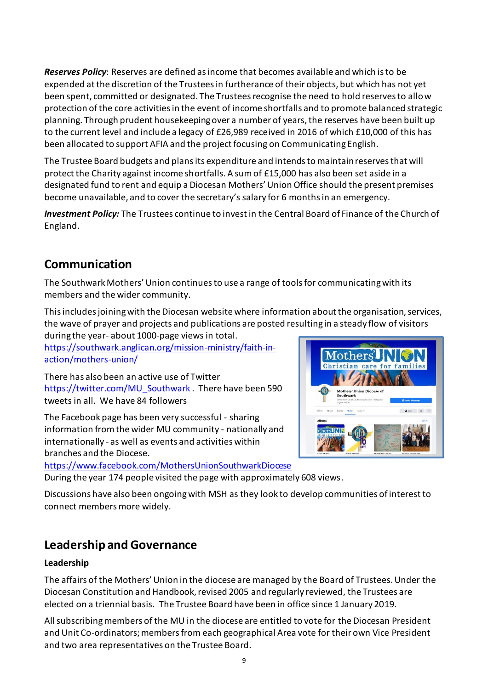*Reserves Policy*: Reserves are defined as income that becomes available and which is to be expended at the discretion of the Trustees in furtherance of their objects, but which has not yet been spent, committed or designated. The Trustees recognise the need to hold reserves to allow protection of the core activities in the event of income shortfalls and to promote balanced strategic planning. Through prudent housekeeping over a number of years, the reserves have been built up to the current level and include a legacy of £26,989 received in 2016 of which £10,000 of this has been allocated to support AFIA and the project focusing on Communicating English.

The Trustee Board budgets and plans its expenditure and intends to maintain reserves that will protect the Charity against income shortfalls. A sum of £15,000 has also been set aside in a designated fund to rent and equip a Diocesan Mothers' Union Office should the present premises become unavailable, and to cover the secretary's salary for 6 months in an emergency.

*Investment Policy:* The Trustees continue to invest in the Central Board of Finance of the Church of England.

### **Communication**

The Southwark Mothers' Union continues to use a range of tools for communicating with its members and the wider community.

This includes joining with the Diocesan website where information about the organisation, services, the wave of prayer and projects and publications are posted resulting in a steady flow of visitors during the year- about 1000-page views in total.

[https://southwark.anglican.org/mission-ministry/faith-in](https://southwark.anglican.org/mission-ministry/faith-in-action/mothers-union/)[action/mothers-union/](https://southwark.anglican.org/mission-ministry/faith-in-action/mothers-union/)

There has also been an active use of Twitter [https://twitter.com/MU\\_Southwark](https://twitter.com/MU_Southwark) . There have been 590 tweets in all. We have 84 followers

The Facebook page has been very successful - sharing information from the wider MU community - nationally and internationally - as well as events and activities within branches and the Diocese.

<https://www.facebook.com/MothersUnionSouthwarkDiocese> During the year 174 people visited the page with approximately 608 views.

Discussions have also been ongoing with MSH as they look to develop communities of interest to connect members more widely.

## **Leadership and Governance**

#### **Leadership**

The affairs of the Mothers' Union in the diocese are managed by the Board of Trustees. Under the Diocesan Constitution and Handbook, revised 2005 and regularly reviewed, the Trustees are elected on a triennial basis. The Trustee Board have been in office since 1 January 2019.

All subscribing members of the MU in the diocese are entitled to vote for the Diocesan President and Unit Co-ordinators; members from each geographical Area vote for their own Vice President and two area representatives on the Trustee Board.

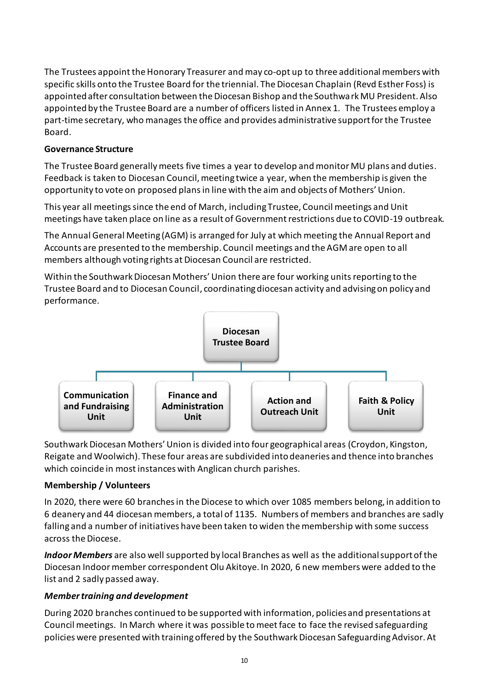The Trustees appoint the Honorary Treasurer and may co-opt up to three additional members with specific skills onto the Trustee Board for the triennial. The Diocesan Chaplain (Revd Esther Foss) is appointed after consultation between the Diocesan Bishop and the Southwark MU President. Also appointed by the Trustee Board are a number of officers listed in Annex 1. The Trustees employ a part-time secretary, who manages the office and provides administrative support for the Trustee Board.

#### **Governance Structure**

The Trustee Board generally meets five times a year to develop and monitor MU plans and duties. Feedback is taken to Diocesan Council, meeting twice a year, when the membership is given the opportunity to vote on proposed plans in line with the aim and objects of Mothers' Union.

This year all meetings since the end of March, including Trustee, Council meetings and Unit meetings have taken place on line as a result of Government restrictions due to COVID-19 outbreak.

The Annual General Meeting (AGM) is arranged for July at which meeting the Annual Report and Accounts are presented to the membership. Council meetings and the AGM are open to all members although voting rights at Diocesan Council are restricted.

Within the Southwark Diocesan Mothers' Union there are four working units reporting to the Trustee Board and to Diocesan Council, coordinating diocesan activity and advising on policy and performance.



Southwark Diocesan Mothers' Union is divided into four geographical areas (Croydon, Kingston, Reigate and Woolwich). These four areas are subdivided into deaneries and thence into branches which coincide in most instances with Anglican church parishes.

### **Membership / Volunteers**

In 2020, there were 60 branches in the Diocese to which over 1085 members belong, in addition to 6 deanery and 44 diocesan members, a total of 1135. Numbers of members and branches are sadly falling and a number of initiatives have been taken to widen the membership with some success across the Diocese.

*Indoor Members* are also well supported by local Branches as well as the additional support of the Diocesan Indoor member correspondent Olu Akitoye. In 2020, 6 new members were added to the list and 2 sadly passed away.

### *Member training and development*

During 2020 branches continued to be supported with information, policies and presentations at Council meetings. In March where it was possible to meet face to face the revised safeguarding policies were presented with training offered by the Southwark Diocesan Safeguarding Advisor. At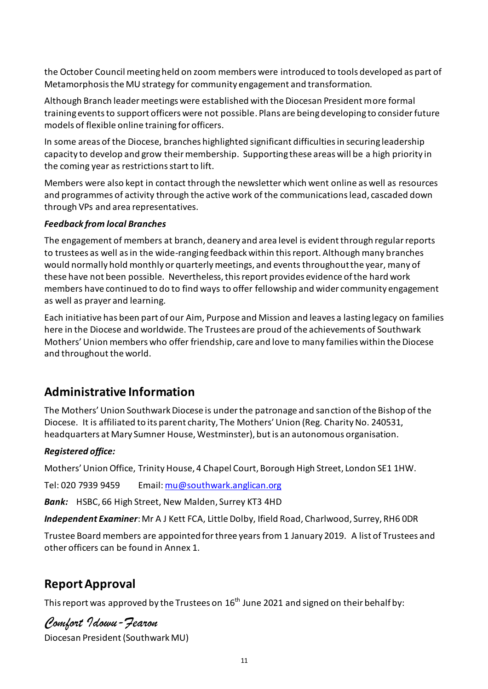the October Council meeting held on zoom members were introduced to tools developed as part of Metamorphosis the MU strategy for community engagement and transformation.

Although Branch leader meetings were established with the Diocesan President more formal training events to support officers were not possible. Plans are being developing to consider future models of flexible online training for officers.

In some areas of the Diocese, branches highlighted significant difficulties in securing leadership capacity to develop and grow their membership. Supporting these areas will be a high priority in the coming year as restrictions start to lift.

Members were also kept in contact through the newsletter which went online as well as resources and programmes of activity through the active work of the communications lead, cascaded down through VPs and area representatives.

#### *Feedback from local Branches*

The engagement of members at branch, deanery and area level is evident through regular reports to trustees as well as in the wide-ranging feedback within this report. Although many branches would normally hold monthly or quarterly meetings, and events throughout the year, many of these have not been possible. Nevertheless, this report provides evidence of the hard work members have continued to do to find ways to offer fellowship and wider community engagement as well as prayer and learning.

Each initiative has been part of our Aim, Purpose and Mission and leaves a lasting legacy on families here in the Diocese and worldwide. The Trustees are proud of the achievements of Southwark Mothers' Union members who offer friendship, care and love to many families within the Diocese and throughout the world.

### **Administrative Information**

The Mothers' Union Southwark Diocese is under the patronage and sanction of the Bishop of the Diocese. It is affiliated to its parent charity, The Mothers' Union (Reg. Charity No. 240531, headquarters at Mary Sumner House, Westminster), but is an autonomous organisation.

### *Registered office:*

Mothers' Union Office, Trinity House, 4 Chapel Court, Borough High Street, London SE1 1HW.

Tel: 020 7939 9459 Email[:mu@southwark.anglican.org](mailto:mu@southwark.anglican.org)

*Bank:* HSBC, 66 High Street, New Malden, Surrey KT3 4HD

*Independent Examiner*: Mr A J Kett FCA, Little Dolby, Ifield Road, Charlwood, Surrey, RH6 0DR

Trustee Board members are appointed for three years from 1 January 2019. A list of Trustees and other officers can be found in Annex 1.

# **Report Approval**

This report was approved by the Trustees on  $16<sup>th</sup>$  June 2021 and signed on their behalf by:

*Comfort Idowu-Fearon*

Diocesan President (Southwark MU)